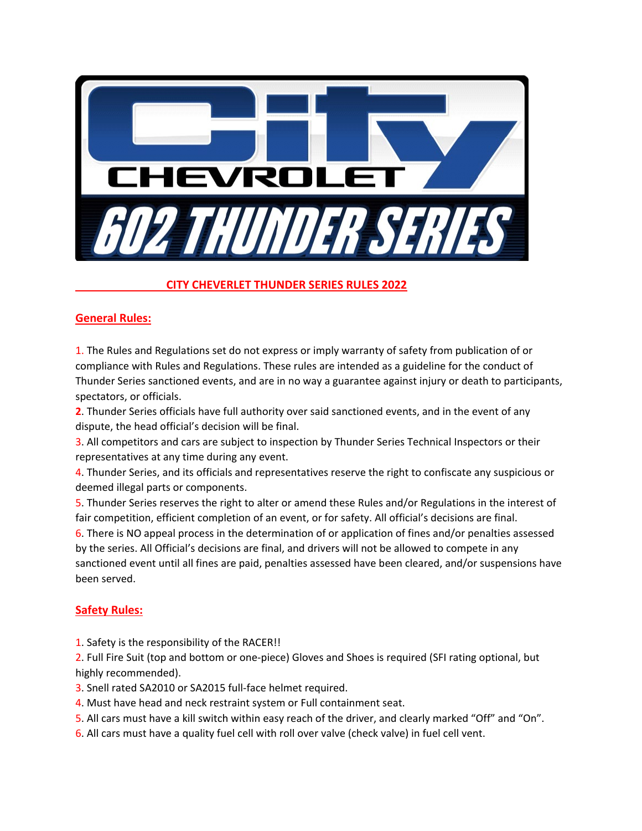

# **CITY CHEVERLET THUNDER SERIES RULES 2022**

# **General Rules:**

1. The Rules and Regulations set do not express or imply warranty of safety from publication of or compliance with Rules and Regulations. These rules are intended as a guideline for the conduct of Thunder Series sanctioned events, and are in no way a guarantee against injury or death to participants, spectators, or officials.

**2**. Thunder Series officials have full authority over said sanctioned events, and in the event of any dispute, the head official's decision will be final.

3. All competitors and cars are subject to inspection by Thunder Series Technical Inspectors or their representatives at any time during any event.

4. Thunder Series, and its officials and representatives reserve the right to confiscate any suspicious or deemed illegal parts or components.

5. Thunder Series reserves the right to alter or amend these Rules and/or Regulations in the interest of fair competition, efficient completion of an event, or for safety. All official's decisions are final.

6. There is NO appeal process in the determination of or application of fines and/or penalties assessed by the series. All Official's decisions are final, and drivers will not be allowed to compete in any sanctioned event until all fines are paid, penalties assessed have been cleared, and/or suspensions have been served.

# **Safety Rules:**

1. Safety is the responsibility of the RACER!!

2. Full Fire Suit (top and bottom or one-piece) Gloves and Shoes is required (SFI rating optional, but highly recommended).

- 3. Snell rated SA2010 or SA2015 full-face helmet required.
- 4. Must have head and neck restraint system or Full containment seat.
- 5. All cars must have a kill switch within easy reach of the driver, and clearly marked "Off" and "On".
- 6. All cars must have a quality fuel cell with roll over valve (check valve) in fuel cell vent.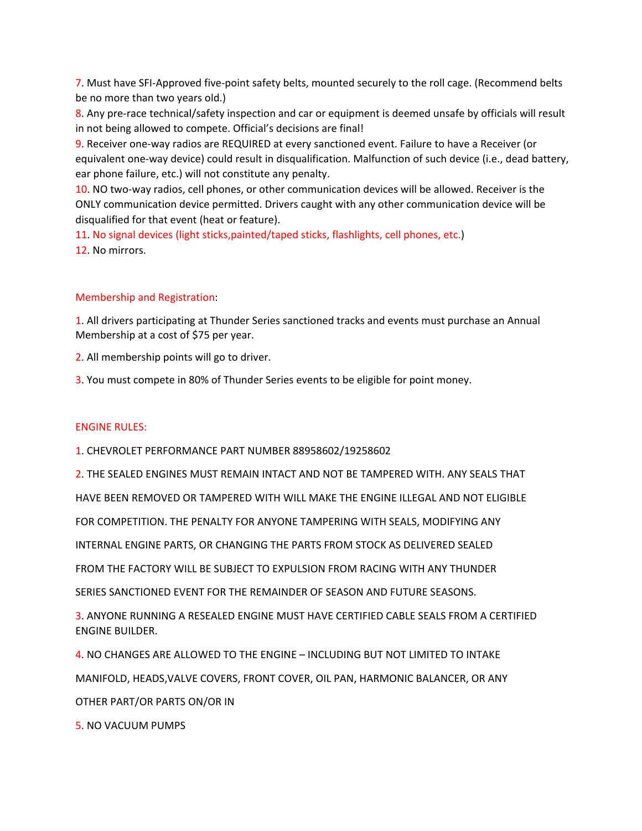7. Must have SFI-Approved five-point safety belts, mounted securely to the roll cage. (Recommend belts be no more than two years old.)

8. Any pre-race technical/safety inspection and car or equipment is deemed unsafe by officials will result in not being allowed to compete. Official's decisions are final!

9. Receiver one-way radios are REQUIRED at every sanctioned event. Failure to have a Receiver (or equivalent one-way device) could result in disqualification. Malfunction of such device (i.e., dead battery, ear phone failure, etc.) will not constitute any penalty.

10. NO two-way radios, cell phones, or other communication devices will be allowed. Receiver is the ONLY communication device permitted. Drivers caught with any other communication device will be disqualified for that event (heat or feature).

11. No signal devices (light sticks,painted/taped sticks, flashlights, cell phones, etc.) 12. No mirrors.

# Membership and Registration:

1. All drivers participating at Thunder Series sanctioned tracks and events must purchase an Annual Membership at a cost of \$75 per year.

2. All membership points will go to driver.

3. You must compete in 80% of Thunder Series events to be eligible for point money.

# ENGINE RULES:

1. CHEVROLET PERFORMANCE PART NUMBER 88958602/19258602

2. THE SEALED ENGINES MUST REMAIN INTACT AND NOT BE TAMPERED WITH. ANY SEALS THAT

HAVE BEEN REMOVED OR TAMPERED WITH WILL MAKE THE ENGINE ILLEGAL AND NOT ELIGIBLE

FOR COMPETITION. THE PENALTY FOR ANYONE TAMPERING WITH SEALS, MODIFYING ANY

INTERNAL ENGINE PARTS, OR CHANGING THE PARTS FROM STOCK AS DELIVERED SEALED

FROM THE FACTORY WILL BE SUBJECT TO EXPULSION FROM RACING WITH ANY THUNDER

SERIES SANCTIONED EVENT FOR THE REMAINDER OF SEASON AND FUTURE SEASONS.

3. ANYONE RUNNING A RESEALED ENGINE MUST HAVE CERTIFIED CABLE SEALS FROM A CERTIFIED ENGINE BUILDER.

4. NO CHANGES ARE ALLOWED TO THE ENGINE – INCLUDING BUT NOT LIMITED TO INTAKE MANIFOLD, HEADS,VALVE COVERS, FRONT COVER, OIL PAN, HARMONIC BALANCER, OR ANY OTHER PART/OR PARTS ON/OR IN

5. NO VACUUM PUMPS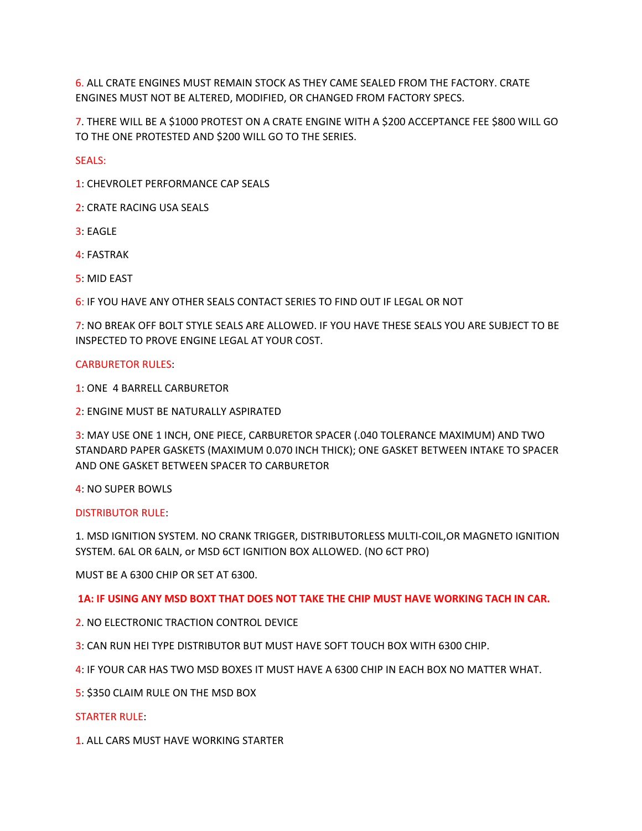6. ALL CRATE ENGINES MUST REMAIN STOCK AS THEY CAME SEALED FROM THE FACTORY. CRATE ENGINES MUST NOT BE ALTERED, MODIFIED, OR CHANGED FROM FACTORY SPECS.

7. THERE WILL BE A \$1000 PROTEST ON A CRATE ENGINE WITH A \$200 ACCEPTANCE FEE \$800 WILL GO TO THE ONE PROTESTED AND \$200 WILL GO TO THE SERIES.

SEALS:

1: CHEVROLET PERFORMANCE CAP SEALS

2: CRATE RACING USA SEALS

3: EAGLE

4: FASTRAK

5: MID EAST

6: IF YOU HAVE ANY OTHER SEALS CONTACT SERIES TO FIND OUT IF LEGAL OR NOT

7: NO BREAK OFF BOLT STYLE SEALS ARE ALLOWED. IF YOU HAVE THESE SEALS YOU ARE SUBJECT TO BE INSPECTED TO PROVE ENGINE LEGAL AT YOUR COST.

#### CARBURETOR RULES:

1: ONE 4 BARRELL CARBURETOR

2: ENGINE MUST BE NATURALLY ASPIRATED

3: MAY USE ONE 1 INCH, ONE PIECE, CARBURETOR SPACER (.040 TOLERANCE MAXIMUM) AND TWO STANDARD PAPER GASKETS (MAXIMUM 0.070 INCH THICK); ONE GASKET BETWEEN INTAKE TO SPACER AND ONE GASKET BETWEEN SPACER TO CARBURETOR

4: NO SUPER BOWLS

#### DISTRIBUTOR RULE:

1. MSD IGNITION SYSTEM. NO CRANK TRIGGER, DISTRIBUTORLESS MULTI-COIL,OR MAGNETO IGNITION SYSTEM. 6AL OR 6ALN, or MSD 6CT IGNITION BOX ALLOWED. (NO 6CT PRO)

MUST BE A 6300 CHIP OR SET AT 6300.

**1A: IF USING ANY MSD BOXT THAT DOES NOT TAKE THE CHIP MUST HAVE WORKING TACH IN CAR.**

2. NO ELECTRONIC TRACTION CONTROL DEVICE

3: CAN RUN HEI TYPE DISTRIBUTOR BUT MUST HAVE SOFT TOUCH BOX WITH 6300 CHIP.

4: IF YOUR CAR HAS TWO MSD BOXES IT MUST HAVE A 6300 CHIP IN EACH BOX NO MATTER WHAT.

5: \$350 CLAIM RULE ON THE MSD BOX

#### STARTER RULE:

1. ALL CARS MUST HAVE WORKING STARTER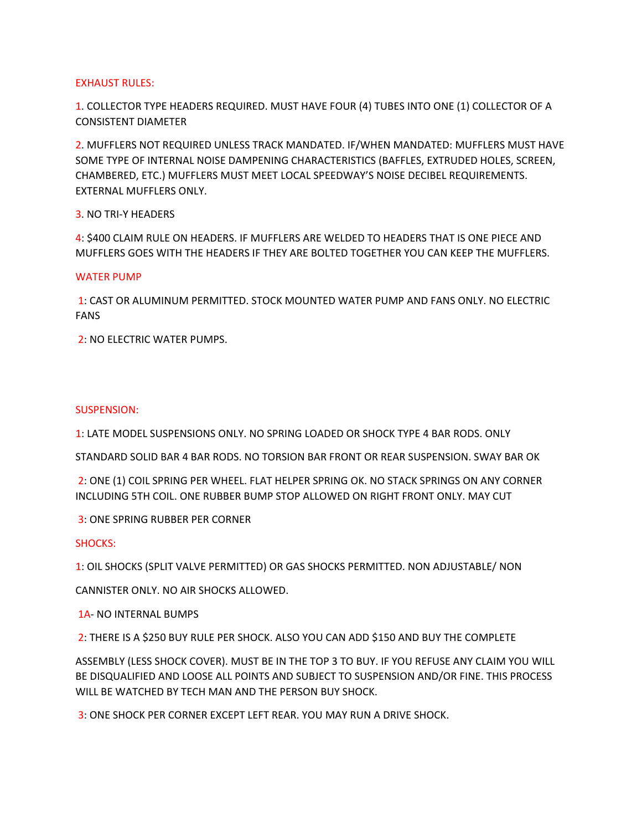## EXHAUST RULES:

1. COLLECTOR TYPE HEADERS REQUIRED. MUST HAVE FOUR (4) TUBES INTO ONE (1) COLLECTOR OF A CONSISTENT DIAMETER

2. MUFFLERS NOT REQUIRED UNLESS TRACK MANDATED. IF/WHEN MANDATED: MUFFLERS MUST HAVE SOME TYPE OF INTERNAL NOISE DAMPENING CHARACTERISTICS (BAFFLES, EXTRUDED HOLES, SCREEN, CHAMBERED, ETC.) MUFFLERS MUST MEET LOCAL SPEEDWAY'S NOISE DECIBEL REQUIREMENTS. EXTERNAL MUFFLERS ONLY.

3. NO TRI-Y HEADERS

4: \$400 CLAIM RULE ON HEADERS. IF MUFFLERS ARE WELDED TO HEADERS THAT IS ONE PIECE AND MUFFLERS GOES WITH THE HEADERS IF THEY ARE BOLTED TOGETHER YOU CAN KEEP THE MUFFLERS.

## WATER PUMP

 1: CAST OR ALUMINUM PERMITTED. STOCK MOUNTED WATER PUMP AND FANS ONLY. NO ELECTRIC FANS

2: NO ELECTRIC WATER PUMPS.

## SUSPENSION:

1: LATE MODEL SUSPENSIONS ONLY. NO SPRING LOADED OR SHOCK TYPE 4 BAR RODS. ONLY

STANDARD SOLID BAR 4 BAR RODS. NO TORSION BAR FRONT OR REAR SUSPENSION. SWAY BAR OK

 2: ONE (1) COIL SPRING PER WHEEL. FLAT HELPER SPRING OK. NO STACK SPRINGS ON ANY CORNER INCLUDING 5TH COIL. ONE RUBBER BUMP STOP ALLOWED ON RIGHT FRONT ONLY. MAY CUT

3: ONE SPRING RUBBER PER CORNER

# SHOCKS:

1: OIL SHOCKS (SPLIT VALVE PERMITTED) OR GAS SHOCKS PERMITTED. NON ADJUSTABLE/ NON

CANNISTER ONLY. NO AIR SHOCKS ALLOWED.

1A- NO INTERNAL BUMPS

2: THERE IS A \$250 BUY RULE PER SHOCK. ALSO YOU CAN ADD \$150 AND BUY THE COMPLETE

ASSEMBLY (LESS SHOCK COVER). MUST BE IN THE TOP 3 TO BUY. IF YOU REFUSE ANY CLAIM YOU WILL BE DISQUALIFIED AND LOOSE ALL POINTS AND SUBJECT TO SUSPENSION AND/OR FINE. THIS PROCESS WILL BE WATCHED BY TECH MAN AND THE PERSON BUY SHOCK.

3: ONE SHOCK PER CORNER EXCEPT LEFT REAR. YOU MAY RUN A DRIVE SHOCK.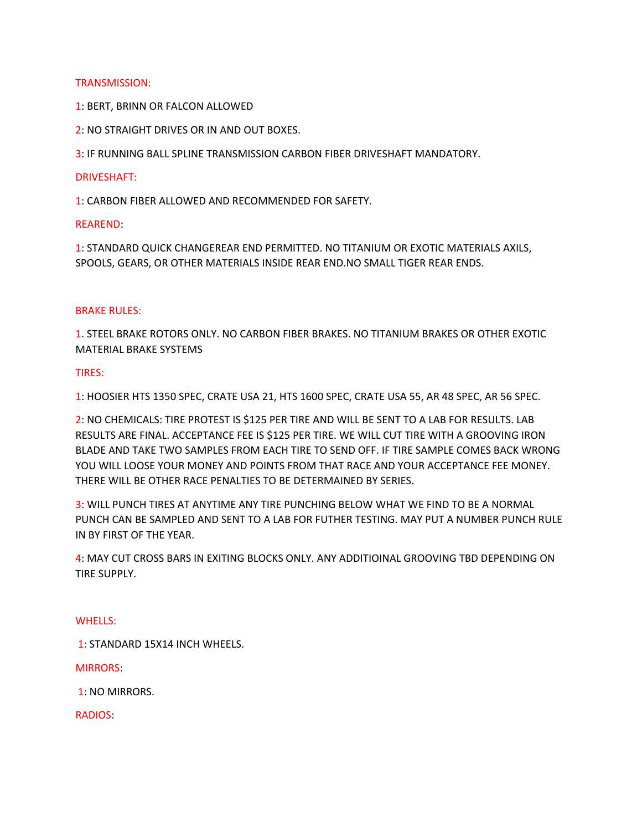## TRANSMISSION:

- 1: BERT, BRINN OR FALCON ALLOWED
- 2: NO STRAIGHT DRIVES OR IN AND OUT BOXES.

3: IF RUNNING BALL SPLINE TRANSMISSION CARBON FIBER DRIVESHAFT MANDATORY.

#### DRIVESHAFT:

1: CARBON FIBER ALLOWED AND RECOMMENDED FOR SAFETY.

#### REAREND:

1: STANDARD QUICK CHANGEREAR END PERMITTED. NO TITANIUM OR EXOTIC MATERIALS AXILS, SPOOLS, GEARS, OR OTHER MATERIALS INSIDE REAR END.NO SMALL TIGER REAR ENDS.

## BRAKE RULES:

1. STEEL BRAKE ROTORS ONLY. NO CARBON FIBER BRAKES. NO TITANIUM BRAKES OR OTHER EXOTIC MATERIAL BRAKE SYSTEMS

## TIRES:

1: HOOSIER HTS 1350 SPEC, CRATE USA 21, HTS 1600 SPEC, CRATE USA 55, AR 48 SPEC, AR 56 SPEC.

2: NO CHEMICALS: TIRE PROTEST IS \$125 PER TIRE AND WILL BE SENT TO A LAB FOR RESULTS. LAB RESULTS ARE FINAL. ACCEPTANCE FEE IS \$125 PER TIRE. WE WILL CUT TIRE WITH A GROOVING IRON BLADE AND TAKE TWO SAMPLES FROM EACH TIRE TO SEND OFF. IF TIRE SAMPLE COMES BACK WRONG YOU WILL LOOSE YOUR MONEY AND POINTS FROM THAT RACE AND YOUR ACCEPTANCE FEE MONEY. THERE WILL BE OTHER RACE PENALTIES TO BE DETERMAINED BY SERIES.

3: WILL PUNCH TIRES AT ANYTIME ANY TIRE PUNCHING BELOW WHAT WE FIND TO BE A NORMAL PUNCH CAN BE SAMPLED AND SENT TO A LAB FOR FUTHER TESTING. MAY PUT A NUMBER PUNCH RULE IN BY FIRST OF THE YEAR.

4: MAY CUT CROSS BARS IN EXITING BLOCKS ONLY. ANY ADDITIOINAL GROOVING TBD DEPENDING ON TIRE SUPPLY.

#### WHELLS:

1: STANDARD 15X14 INCH WHEELS.

MIRRORS:

1: NO MIRRORS.

RADIOS: